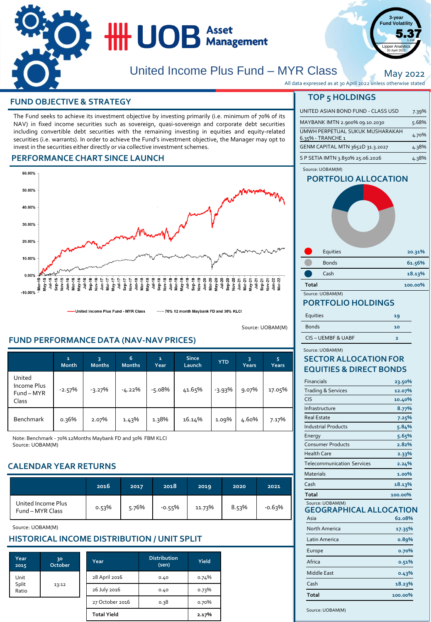

# **TOP 5 HOLDINGS FUND OBJECTIVE & STRATEGY**

The Fund seeks to achieve its investment objective by investing primarily (i.e. minimum of 70% of its NAV) in fixed income securities such as sovereign, quasi-sovereign and corporate debt securities including convertible debt securities with the remaining investing in equities and equity-related securities (i.e. warrants). In order to achieve the Fund's investment objective, the Manager may opt to invest in the securities either directly or via collective investment schemes.

#### **PERFORMANCE CHART SINCE LAUNCH**



United Income Plus Fund - MYR Class ----- 70% 12 month Maybank FD and 30% KLCI

Source: UOBAM(M)

## **FUND PERFORMANCE DATA (NAV-NAV PRICES)**

|                                              | 1<br><b>Month</b> | 3<br><b>Months</b> | 6<br><b>Months</b> | $\mathbf{1}$<br>Year | <b>Since</b><br>Launch | <b>YTD</b> | 3<br>Years | 5<br>Years |
|----------------------------------------------|-------------------|--------------------|--------------------|----------------------|------------------------|------------|------------|------------|
| United<br>Income Plus<br>Fund - MYR<br>Class | $-2.57%$          | $-3.27%$           | -4.22%             | $-5.08%$             | 41.65%                 | $-3.93%$   | 9.07%      | 17.05%     |
| <b>Benchmark</b>                             | 0.36%             | 2.07%              | 1.43%              | 1.38%                | 16.14%                 | 1.09%      | 4.60%      | 7.17%      |

Note: Benchmark - 70% 12Months Maybank FD and 30% FBM KLCI Source: UOBAM(M)

## **CALENDAR YEAR RETURNS**

|                                        | 2016  | 2017  | 2018     | 2019   | 2020  | 2021     |
|----------------------------------------|-------|-------|----------|--------|-------|----------|
| United Income Plus<br>Fund - MYR Class | 0.53% | 5.76% | $-0.55%$ | 11.73% | 8.53% | $-0.63%$ |

Source: UOBAM(M)

## **HISTORICAL INCOME DISTRIBUTION / UNIT SPLIT**

| Year<br>2015   | 30<br>October | Year               | <b>Distribution</b><br>(sen) | Yield |
|----------------|---------------|--------------------|------------------------------|-------|
| Unit           |               | 28 April 2016      | 0.40                         | 0.74% |
| Split<br>Ratio | 13:12         | 26 July 2016       | 0.40                         | 0.73% |
|                |               | 27 October 2016    | 0.38                         | 0.70% |
|                |               | <b>Total Yield</b> |                              | 2.17% |

| All data expressed as at 30 April 2022 unless otherwise stated |  |
|----------------------------------------------------------------|--|
| <b>TOP 5 HOLDINGS</b>                                          |  |

| UNITED ASIAN BOND FUND - CLASS USD                   | 7.39% |
|------------------------------------------------------|-------|
| MAYBANK IMTN 2.900% 09.10.2030                       | 5.68% |
| UMWH PERPETUAL SUKUK MUSHARAKAH<br>6.35% - TRANCHE 1 | 4.70% |
| GENM CAPITAL MTN 3652D 31.3.2027                     | 4.38% |
| S P SETIA IMTN 3.850% 25.06.2026                     | 4.38% |

**3-year Fund Volatility**  $5.37$ 

ipper Analyti 30 April 2022

May 2022

#### **PORTFOLIO ALLOCATION** Source: UOBAM(M)

| <u>FURTFULIU ALLULATIUN</u> |        |
|-----------------------------|--------|
| Equities                    | 20.31% |
| <b>Bonds</b>                | 61.56% |
| Cash                        | 18.13% |

#### Source: UOBAM(M) **Total 100.00%**

#### **PORTFOLIO HOLDINGS**

| Equities         | 19 |
|------------------|----|
| <b>Bonds</b>     | 10 |
| CIS-UEMBF & UABF | ∍  |

#### Source: UOBAM(M)

### **SECTOR ALLOCATION FOR EQUITIES & DIRECT BONDS**

| <b>Financials</b>                 | 23.50%  |
|-----------------------------------|---------|
| <b>Trading &amp; Services</b>     | 12.07%  |
| <b>CIS</b>                        | 10.40%  |
| Infrastructure                    | 8.77%   |
| Real Estate                       | 7.25%   |
| <b>Industrial Products</b>        | 5.84%   |
| Energy                            | 5.65%   |
| <b>Consumer Products</b>          | 2.82%   |
| <b>Health Care</b>                | 2.33%   |
| <b>Telecommunication Services</b> | 2.24%   |
| Materials                         | 1.00%   |
| Cash                              | 18.13%  |
| Total                             | 100.00% |

#### **GEOGRAPHICAL ALLOCATION** Source: UOBAM(M)

| Asia          | 62.08%  |
|---------------|---------|
| North America | 17.35%  |
| Latin America | 0.89%   |
| Europe        | 0.70%   |
| Africa        | 0.51%   |
| Middle East   | 0.43%   |
| Cash          | 18.23%  |
| <b>Total</b>  | 100.00% |

Source: UOBAM(M)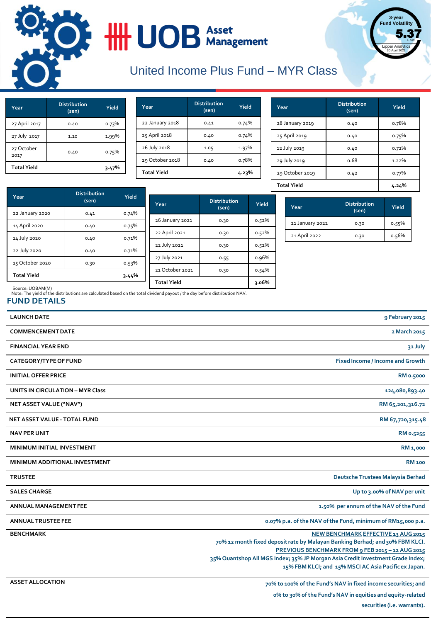

# **HILLOB** Asset

# United Income Plus Fund – MYR Class

| Year               | <b>Distribution</b><br>(sen) | Yield |
|--------------------|------------------------------|-------|
| 27 April 2017      | 0.40                         | 0.73% |
| 27 July 2017       | 1.10                         | 1.99% |
| 27 October<br>2017 | 0.40                         | 0.75% |
| <b>Total Yield</b> | 3.47%                        |       |

| Year               | <b>Distribution</b><br>(sen) | Yield |
|--------------------|------------------------------|-------|
| 22 January 2018    | 0.41                         | 0.74% |
| 25 April 2018      | 0.40                         | 0.74% |
| 26 July 2018       | 1.05                         | 1.97% |
| 29 October 2018    | 0.40                         | 0.78% |
| <b>Total Yield</b> | 4.23%                        |       |

| Year               | <b>Distribution</b><br>(sen) | Yield |
|--------------------|------------------------------|-------|
| 28 January 2019    | 0.40                         | 0.78% |
| 25 April 2019      | 0.40                         | 0.75% |
| 12 July 2019       | 0.40                         | 0.72% |
| 29 July 2019       | 0.68                         | 1.22% |
| 29 October 2019    | 0.42                         | 0.77% |
| <b>Total Yield</b> | 4.24%                        |       |

**3-year Fund Volatility**

Lipper Analytic 30 April 2022

5.37

|                    | <b>Distribution</b> |       |                 |                     |              |
|--------------------|---------------------|-------|-----------------|---------------------|--------------|
| Year               | (sen)               | Yield | Year            | <b>Distribution</b> | Yield        |
| 22 January 2020    | 0.41                | 0.74% |                 | (sen)               |              |
|                    |                     |       | 26 January 2021 | 0.30                | 0.52%        |
| 14 April 2020      | 0.40                | 0.75% | 22 April 2021   |                     | 0.52%        |
| 14 July 2020       | 0.40                | 0.71% |                 | 0.30                |              |
| 22 July 2020       |                     | 0.71% | 22 July 2021    | 0.30                | 0.52%        |
|                    | 0.40                |       | 27 July 2021    | 0.55                | 0.96%        |
| 15 October 2020    | 0.30                | 0.53% |                 |                     |              |
| <b>Total Yield</b> |                     | 3.44% | 21 October 2021 | 0.30                | 0.54%        |
|                    |                     |       | Tatal Viald     |                     | $\sim 0.604$ |

| Year            | <b>Distribution</b><br>(sen) | Yield |
|-----------------|------------------------------|-------|
| 21 January 2022 | 0.30                         | 0.55% |
| 21 April 2022   | 0.30                         | 0.56% |

Note: The yield of the distributions are calculated based on the total dividend payout / the day before distribution NAV. Source: UOBAM(M) **Total Yield 3.06%**

# **FUND DETAILS**

| <b>LAUNCH DATE</b>                      | 9 February 2015                                                                                                                                                                                                                                                                                                   |
|-----------------------------------------|-------------------------------------------------------------------------------------------------------------------------------------------------------------------------------------------------------------------------------------------------------------------------------------------------------------------|
| <b>COMMENCEMENT DATE</b>                | 2 March 2015                                                                                                                                                                                                                                                                                                      |
| <b>FINANCIAL YEAR END</b>               | 31 July                                                                                                                                                                                                                                                                                                           |
| <b>CATEGORY/TYPE OF FUND</b>            | <b>Fixed Income / Income and Growth</b>                                                                                                                                                                                                                                                                           |
| <b>INITIAL OFFER PRICE</b>              | <b>RM 0.5000</b>                                                                                                                                                                                                                                                                                                  |
| <b>UNITS IN CIRCULATION - MYR Class</b> | 124,080,893.40                                                                                                                                                                                                                                                                                                    |
| NET ASSET VALUE ("NAV")                 | RM 65,201,316.72                                                                                                                                                                                                                                                                                                  |
| <b>NET ASSET VALUE - TOTAL FUND</b>     | RM 67,720,315.48                                                                                                                                                                                                                                                                                                  |
| <b>NAV PER UNIT</b>                     | RM 0.5255                                                                                                                                                                                                                                                                                                         |
| <b>MINIMUM INITIAL INVESTMENT</b>       | RM 1,000                                                                                                                                                                                                                                                                                                          |
| MINIMUM ADDITIONAL INVESTMENT           | <b>RM 100</b>                                                                                                                                                                                                                                                                                                     |
| <b>TRUSTEE</b>                          | Deutsche Trustees Malaysia Berhad                                                                                                                                                                                                                                                                                 |
| <b>SALES CHARGE</b>                     | Up to 3.00% of NAV per unit                                                                                                                                                                                                                                                                                       |
| <b>ANNUAL MANAGEMENT FEE</b>            | 1.50% per annum of the NAV of the Fund                                                                                                                                                                                                                                                                            |
| <b>ANNUAL TRUSTEE FEE</b>               | 0.07% p.a. of the NAV of the Fund, minimum of RM15,000 p.a.                                                                                                                                                                                                                                                       |
| <b>BENCHMARK</b>                        | NEW BENCHMARK EFFECTIVE 13 AUG 2015<br>70% 12 month fixed deposit rate by Malayan Banking Berhad; and 30% FBM KLCI.<br>PREVIOUS BENCHMARK FROM 9 FEB 2015 - 12 AUG 2015<br>35% Quantshop All MGS Index; 35% JP Morgan Asia Credit Investment Grade Index;<br>15% FBM KLCI; and 15% MSCI AC Asia Pacific ex Japan. |
| <b>ASSET ALLOCATION</b>                 | 70% to 100% of the Fund's NAV in fixed income securities; and<br>o% to 30% of the Fund's NAV in equities and equity-related                                                                                                                                                                                       |

**securities (i.e. warrants).**